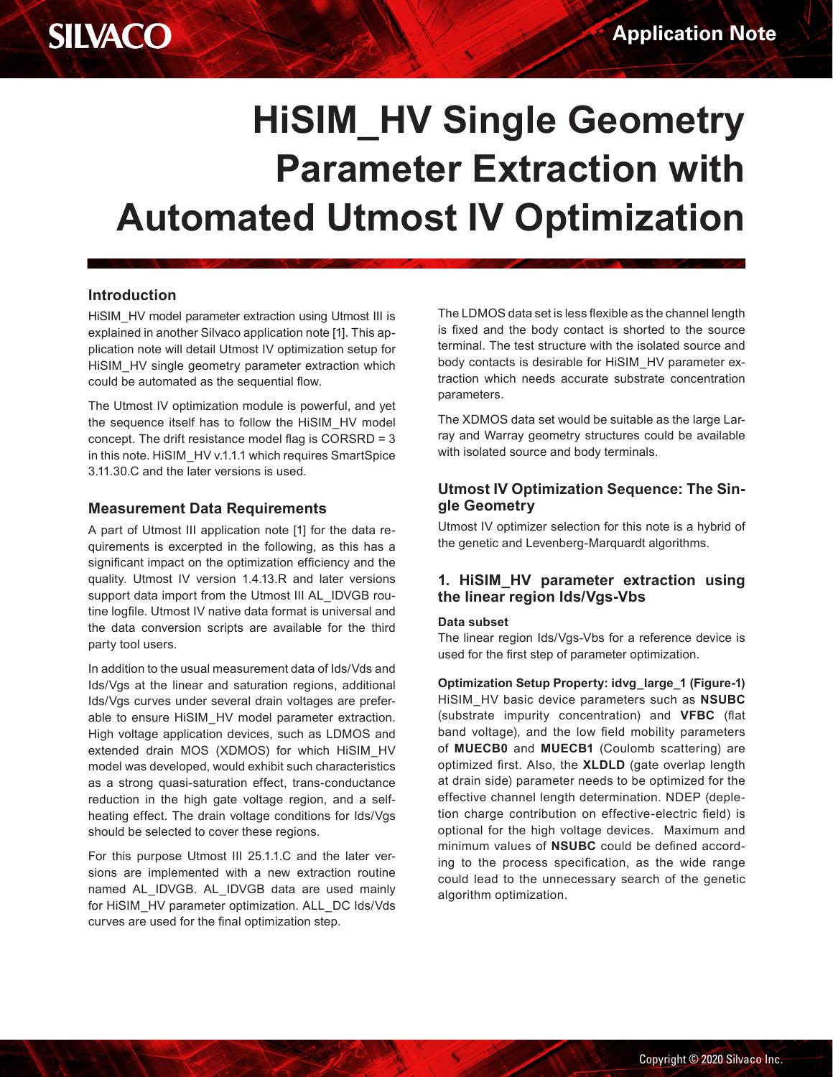# **HiSIM\_HV Single Geometry Parameter Extraction with Automated Utmost IV Optimization**

# **Introduction**

HiSIM HV model parameter extraction using Utmost III is explained in another Silvaco application note [1]. This application note will detail Utmost IV optimization setup for HiSIM HV single geometry parameter extraction which could be automated as the sequential flow.

The Utmost IV optimization module is powerful, and yet the sequence itself has to follow the HiSIM\_HV model concept. The drift resistance model flag is CORSRD = 3 in this note. HiSIM HV v.1.1.1 which requires SmartSpice 3.11.30.C and the later versions is used.

# **Measurement Data Requirements**

A part of Utmost III application note [1] for the data requirements is excerpted in the following, as this has a significant impact on the optimization efficiency and the quality. Utmost IV version 1.4.13.R and later versions support data import from the Utmost III AL\_IDVGB routine logfile. Utmost IV native data format is universal and the data conversion scripts are available for the third party tool users.

In addition to the usual measurement data of Ids/Vds and Ids/Vgs at the linear and saturation regions, additional Ids/Vgs curves under several drain voltages are preferable to ensure HiSIM\_HV model parameter extraction. High voltage application devices, such as LDMOS and extended drain MOS (XDMOS) for which HiSIM\_HV model was developed, would exhibit such characteristics as a strong quasi-saturation effect, trans-conductance reduction in the high gate voltage region, and a selfheating effect. The drain voltage conditions for Ids/Vgs should be selected to cover these regions.

For this purpose Utmost III 25.1.1.C and the later versions are implemented with a new extraction routine named AL\_IDVGB. AL\_IDVGB data are used mainly for HiSIM\_HV parameter optimization. ALL\_DC Ids/Vds curves are used for the final optimization step.

The LDMOS data set is less flexible as the channel length is fixed and the body contact is shorted to the source terminal. The test structure with the isolated source and body contacts is desirable for HiSIM\_HV parameter extraction which needs accurate substrate concentration parameters.

The XDMOS data set would be suitable as the large Larray and Warray geometry structures could be available with isolated source and body terminals.

# **Utmost IV Optimization Sequence: The Single Geometry**

Utmost IV optimizer selection for this note is a hybrid of the genetic and Levenberg-Marquardt algorithms.

### **1. HiSIM\_HV parameter extraction using the linear region Ids/Vgs-Vbs**

#### **Data subset**

The linear region Ids/Vgs-Vbs for a reference device is used for the first step of parameter optimization.

**Optimization Setup Property: idvg\_large\_1 (Figure-1)** HiSIM\_HV basic device parameters such as **NSUBC** (substrate impurity concentration) and **VFBC** (flat band voltage), and the low field mobility parameters of **MUECB0** and **MUECB1** (Coulomb scattering) are optimized first. Also, the **XLDLD** (gate overlap length at drain side) parameter needs to be optimized for the effective channel length determination. NDEP (depletion charge contribution on effective-electric field) is optional for the high voltage devices. Maximum and minimum values of **NSUBC** could be defined according to the process specification, as the wide range could lead to the unnecessary search of the genetic algorithm optimization.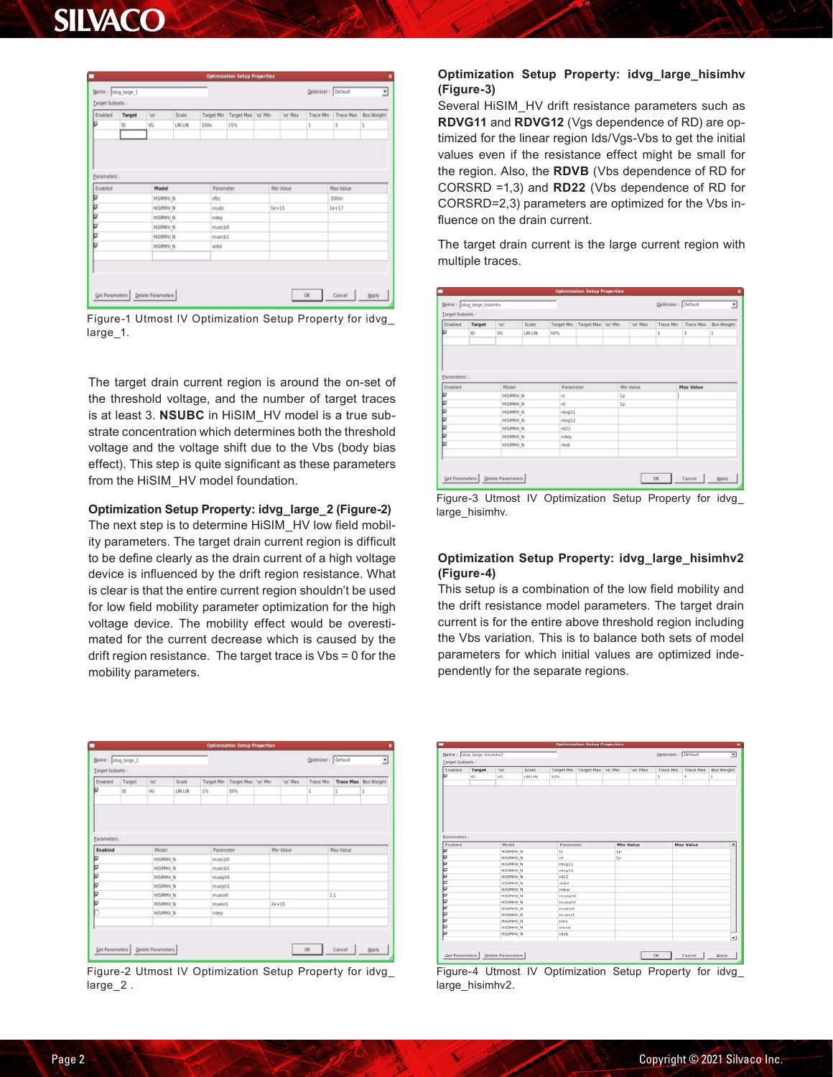# SILVACO

| Enabled      | Target | W.               | Scale   | <b>Target Min</b>  | Target Max Vs' Min | 'ys' Max  | Trace Min | <b>Trace Max</b> | Box Weight |
|--------------|--------|------------------|---------|--------------------|--------------------|-----------|-----------|------------------|------------|
| Þ            | ID     | VG               | LIN LIN | 100n               | 15%                |           | 1         | 3                | 1          |
| Parameters : |        |                  |         |                    |                    |           |           |                  |            |
| Enabled      |        | Model            |         | Parameter          |                    | Min Value |           | <b>Max Value</b> |            |
| ╔            |        | <b>HISINHV N</b> |         | vtbc               |                    |           |           | .500m            |            |
| ╔            |        | <b>HISINHV N</b> |         | <b>nsubc</b>       |                    | $5e+15$   |           | $1e+17$          |            |
| Þ            |        | <b>HISIMHV N</b> |         | ndep               |                    |           |           |                  |            |
|              |        | <b>HISIMHV N</b> |         | muecb <sub>0</sub> |                    |           |           |                  |            |
|              |        | <b>HISINHY N</b> |         | muecb1             |                    |           |           |                  |            |
|              |        | <b>HISIMHV N</b> |         | xidid              |                    |           |           |                  |            |
| ♭<br>╔<br>ь  |        |                  |         |                    |                    |           |           |                  |            |

Figure-1 Utmost IV Optimization Setup Property for idvg\_ large\_1.

The target drain current region is around the on-set of the threshold voltage, and the number of target traces is at least 3. **NSUBC** in HiSIM\_HV model is a true substrate concentration which determines both the threshold voltage and the voltage shift due to the Vbs (body bias effect). This step is quite significant as these parameters from the HiSIM HV model foundation.

#### **Optimization Setup Property: idvg\_large\_2 (Figure-2)**

The next step is to determine HiSIM\_HV low field mobility parameters. The target drain current region is difficult to be define clearly as the drain current of a high voltage device is influenced by the drift region resistance. What is clear is that the entire current region shouldn't be used for low field mobility parameter optimization for the high voltage device. The mobility effect would be overestimated for the current decrease which is caused by the drift region resistance. The target trace is Vbs = 0 for the mobility parameters.

| Name: dvg large 2       |        |                  |         |           | <b>Optimization Setup Properties</b> |           |                    |                  |                      |
|-------------------------|--------|------------------|---------|-----------|--------------------------------------|-----------|--------------------|------------------|----------------------|
| Target Subsets :        |        |                  |         |           |                                      |           | Optimizer: Default |                  | Ξ                    |
| Enabled                 | Target | 'vs'             | Scale   |           | Target Min Target Max 'vs' Min       | 'vs' Max  | Trace Min          |                  | Trace Max Box Weight |
| ь                       | ID     | VG.              | LIN LIN | 1%        | 30%                                  |           | 1                  | 1                | ı                    |
| Parameters :<br>Enabled |        | Model            |         | Parameter |                                      | Min Value |                    | <b>Max Value</b> |                      |
| ⊽                       |        | <b>HISINNY N</b> |         | muecb0    |                                      |           |                    |                  |                      |
| ⊽                       |        | <b>HISINHV N</b> |         | muecb1    |                                      |           |                    |                  |                      |
| ь                       |        | <b>HISINHV N</b> |         | mueph0    |                                      |           |                    |                  |                      |
| ♭                       |        | HISINHV N        |         | mueph1    |                                      |           |                    |                  |                      |
| ♭                       |        | <b>HISINHV N</b> |         | muesr0    |                                      |           |                    | 2.1              |                      |
| ♭                       |        | <b>HISINHV N</b> |         | musur1    |                                      | $2e + 15$ |                    |                  |                      |
| b                       |        | <b>HISINHV N</b> |         | ndep      |                                      |           |                    |                  |                      |

Figure-2 Utmost IV Optimization Setup Property for idvg\_ large\_2 .

#### **Optimization Setup Property: idvg\_large\_hisimhv (Figure-3)**

Several HiSIM\_HV drift resistance parameters such as **RDVG11** and **RDVG12** (Vgs dependence of RD) are optimized for the linear region Ids/Vgs-Vbs to get the initial values even if the resistance effect might be small for the region. Also, the **RDVB** (Vbs dependence of RD for CORSRD =1,3) and **RD22** (Vbs dependence of RD for CORSRD=2,3) parameters are optimized for the Vbs influence on the drain current.

The target drain current is the large current region with multiple traces.

| Target Subsets          |        |                  |         |                   |                     |                |           |              |                  |            |
|-------------------------|--------|------------------|---------|-------------------|---------------------|----------------|-----------|--------------|------------------|------------|
| Enabled                 | Target | 'vs'             | Scale   | <b>Target Min</b> | Target Max 'vs' Min |                | 'ye' Max  | Trace Min    | <b>Trace Max</b> | Box Weight |
| ь                       | ID.    | VG               | LIN LIN | 50%               |                     |                |           | $\mathbf{1}$ | 3                | 1          |
| Parameters :<br>Enabled |        | Model            |         | Parameter         |                     |                | Min Value |              | <b>Max Value</b> |            |
| ≂                       |        | <b>HISIMHV N</b> |         | rs.               |                     | 1 <sub>D</sub> |           |              |                  |            |
| ╔                       |        | <b>HISIMHV N</b> |         | rd                |                     | 1p             |           |              |                  |            |
| ♭                       |        | <b>HISIMHV N</b> |         | rdva11            |                     |                |           |              |                  |            |
| ♭                       |        | <b>HISIMHV N</b> |         | rdvg12            |                     |                |           |              |                  |            |
| ╔                       |        | <b>HISIMHV N</b> |         | rd22              |                     |                |           |              |                  |            |
|                         |        | <b>HISIMHV N</b> |         | ndep              |                     |                |           |              |                  |            |
| ♭<br> ⊽                 |        |                  |         | rdvb              |                     |                |           |              |                  |            |

Figure-3 Utmost IV Optimization Setup Property for idvg\_ large\_hisimhv.

#### **Optimization Setup Property: idvg\_large\_hisimhv2 (Figure-4)**

This setup is a combination of the low field mobility and the drift resistance model parameters. The target drain current is for the entire above threshold region including the Vbs variation. This is to balance both sets of model parameters for which initial values are optimized independently for the separate regions.

| Target Subsets :        | Name: Idvg large hisimhy2 |                  |         |                   |                     |                |                  | Optimizer: Default |                  | Ξ                        |
|-------------------------|---------------------------|------------------|---------|-------------------|---------------------|----------------|------------------|--------------------|------------------|--------------------------|
| Enabled                 | Target                    | Ws"              | Scale   | <b>Target Min</b> | Target Max 'vs' Min |                | "us" Max         | Trace Min          | <b>Trace Max</b> | <b>Box Weight</b>        |
| ь                       | ID:                       | VG               | LIN LIN | 10%               |                     |                |                  | 1                  | <b>x</b>         | ı                        |
|                         |                           |                  |         |                   |                     |                |                  |                    |                  |                          |
| Parameters :<br>Enabled |                           | Model            |         | Parameter         |                     |                | <b>Min Value</b> |                    | <b>Max Value</b> | $\overline{\phantom{a}}$ |
| ≂                       |                           | <b>HISIMHY N</b> |         | rs.               |                     | 1p             |                  |                    |                  |                          |
| ь                       |                           | <b>HISBNYW N</b> |         | rd                |                     | 1 <sub>D</sub> |                  |                    |                  |                          |
| ♭                       |                           | <b>HISIMHV N</b> |         | rdwall1           |                     |                |                  |                    |                  |                          |
|                         |                           | <b>HISIMHY N</b> |         | rdvg12            |                     |                |                  |                    |                  |                          |
|                         |                           | <b>HISIMHV N</b> |         | rd22              |                     |                |                  |                    |                  |                          |
|                         |                           | <b>HISIMHV N</b> |         | stellet           |                     |                |                  |                    |                  |                          |
|                         |                           |                  |         |                   |                     |                |                  |                    |                  |                          |
|                         |                           | HISIMHV N        |         | ndep              |                     |                |                  |                    |                  |                          |
|                         |                           | <b>HISIMHV N</b> |         | muephO            |                     |                |                  |                    |                  |                          |
|                         |                           | <b>HISIMHV N</b> |         | muephl            |                     |                |                  |                    |                  |                          |
|                         |                           | <b>HISIMHV N</b> |         | mueur0            |                     |                |                  |                    |                  |                          |
|                         |                           | <b>HISIMHV N</b> |         | muesr1.           |                     |                |                  |                    |                  |                          |
|                         |                           | HISIMHV N        |         | niny              |                     |                |                  |                    |                  |                          |
|                         |                           | <b>HISIMHV N</b> |         | ninvd             |                     |                |                  |                    |                  |                          |
| 0 0 0 0 0 0 0 0 0       |                           | <b>HISIMHV N</b> |         | rdvb              |                     |                |                  |                    |                  |                          |

Figure-4 Utmost IV Optimization Setup Property for idvg\_ large\_hisimhv2.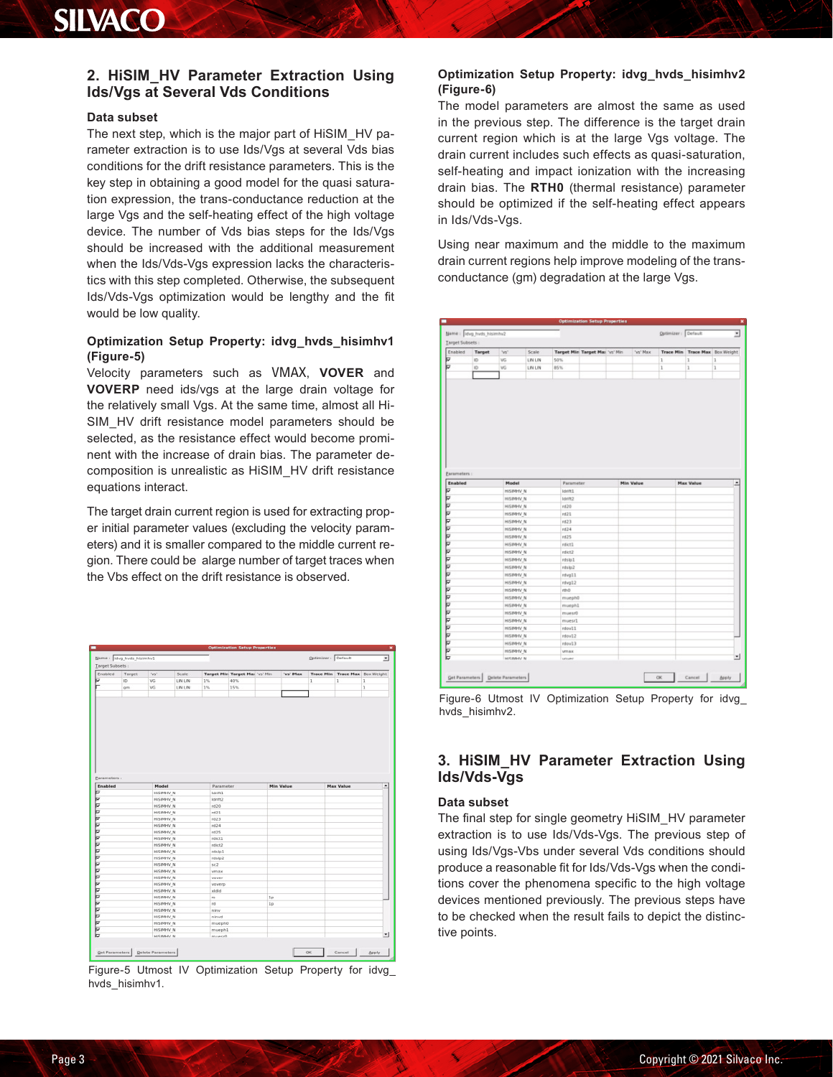# **SILVACO**

# **2. HiSIM\_HV Parameter Extraction Using Ids/Vgs at Several Vds Conditions**

#### **Data subset**

The next step, which is the major part of HiSIM\_HV parameter extraction is to use Ids/Vgs at several Vds bias conditions for the drift resistance parameters. This is the key step in obtaining a good model for the quasi saturation expression, the trans-conductance reduction at the large Vgs and the self-heating effect of the high voltage device. The number of Vds bias steps for the Ids/Vgs should be increased with the additional measurement when the Ids/Vds-Vgs expression lacks the characteristics with this step completed. Otherwise, the subsequent Ids/Vds-Vgs optimization would be lengthy and the fit would be low quality.

### **Optimization Setup Property: idvg\_hvds\_hisimhv1 (Figure-5)**

Velocity parameters such as VMAX, **VOVER** and **VOVERP** need ids/vgs at the large drain voltage for the relatively small Vgs. At the same time, almost all Hi-SIM HV drift resistance model parameters should be selected, as the resistance effect would become prominent with the increase of drain bias. The parameter decomposition is unrealistic as HiSIM\_HV drift resistance equations interact.

The target drain current region is used for extracting proper initial parameter values (excluding the velocity parameters) and it is smaller compared to the middle current region. There could be alarge number of target traces when the Vbs effect on the drift resistance is observed.



Figure-5 Utmost IV Optimization Setup Property for idvg\_ hvds\_hisimhv1.

### **Optimization Setup Property: idvg\_hvds\_hisimhv2 (Figure-6)**

The model parameters are almost the same as used in the previous step. The difference is the target drain current region which is at the large Vgs voltage. The drain current includes such effects as quasi-saturation, self-heating and impact ionization with the increasing drain bias. The **RTH0** (thermal resistance) parameter should be optimized if the self-heating effect appears in Ids/Vds-Vgs.

Using near maximum and the middle to the maximum drain current regions help improve modeling of the transconductance (gm) degradation at the large Vgs.



Figure-6 Utmost IV Optimization Setup Property for idvg\_ hvds\_hisimhv2.

# **3. HiSIM\_HV Parameter Extraction Using Ids/Vds-Vgs**

#### **Data subset**

The final step for single geometry HiSIM\_HV parameter extraction is to use Ids/Vds-Vgs. The previous step of using Ids/Vgs-Vbs under several Vds conditions should produce a reasonable fit for Ids/Vds-Vgs when the conditions cover the phenomena specific to the high voltage devices mentioned previously. The previous steps have to be checked when the result fails to depict the distinctive points.